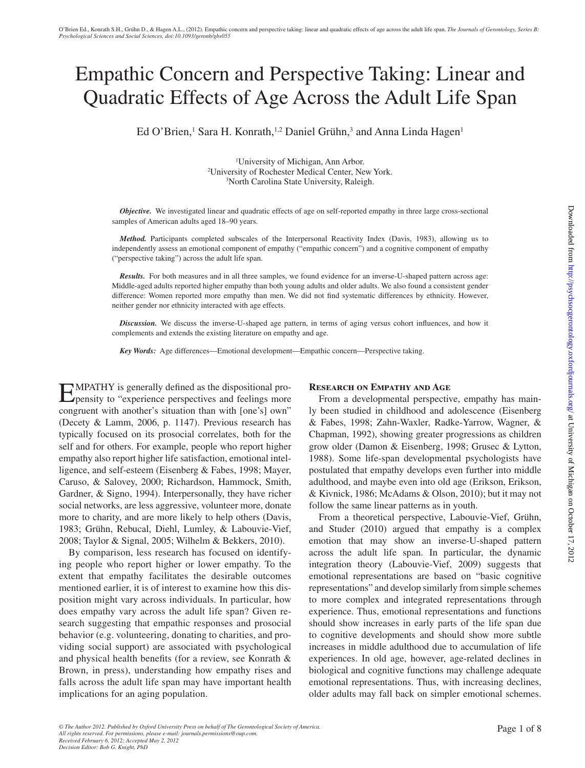# Empathic Concern and Perspective Taking: Linear and Quadratic Effects of Age Across the Adult Life Span

Ed O'Brien,<sup>[1](#page-0-0)</sup> Sara H. Konrath,<sup>1,2</sup> Daniel Grühn,<sup>3</sup> and Anna Linda Hagen<sup>1</sup>

<span id="page-0-1"></span><span id="page-0-0"></span>1 University of Michigan, Ann Arbor. 2 University of Rochester Medical Center, New York. 3 North Carolina State University, Raleigh.

*Objective.* We investigated linear and quadratic effects of age on self-reported empathy in three large cross-sectional samples of American adults aged 18–90 years.

*Method.* Participants completed subscales of the Interpersonal Reactivity Index (Davis, 1983), allowing us to independently assess an emotional component of empathy ("empathic concern") and a cognitive component of empathy ("perspective taking") across the adult life span.

*Results.* For both measures and in all three samples, we found evidence for an inverse-U-shaped pattern across age: Middle-aged adults reported higher empathy than both young adults and older adults. We also found a consistent gender difference: Women reported more empathy than men. We did not find systematic differences by ethnicity. However, neither gender nor ethnicity interacted with age effects.

*Discussion.* We discuss the inverse-U-shaped age pattern, in terms of aging versus cohort influences, and how it complements and extends the existing literature on empathy and age.

*Key Words:* Age differences—Emotional development—Empathic concern—Perspective taking.

Empathy is generally defined as the dispositional pro-pensity to "experience perspectives and feelings more congruent with another's situation than with [one's] own" (Decety & Lamm, 2006, p. 1147). Previous research has typically focused on its prosocial correlates, both for the self and for others. For example, people who report higher empathy also report higher life satisfaction, emotional intelligence, and self-esteem (Eisenberg & Fabes, 1998; Mayer, Caruso, & Salovey, 2000; Richardson, Hammock, Smith, Gardner, & Signo, 1994). Interpersonally, they have richer social networks, are less aggressive, volunteer more, donate more to charity, and are more likely to help others (Davis, 1983; Grühn, Rebucal, Diehl, Lumley, & Labouvie-Vief, 2008; Taylor & Signal, 2005; Wilhelm & Bekkers, 2010).

By comparison, less research has focused on identifying people who report higher or lower empathy. To the extent that empathy facilitates the desirable outcomes mentioned earlier, it is of interest to examine how this disposition might vary across individuals. In particular, how does empathy vary across the adult life span? Given research suggesting that empathic responses and prosocial behavior (e.g. volunteering, donating to charities, and providing social support) are associated with psychological and physical health benefits (for a review, see Konrath & Brown, in press), understanding how empathy rises and falls across the adult life span may have important health implications for an aging population.

## **Research on Empathy and Age**

From a developmental perspective, empathy has mainly been studied in childhood and adolescence (Eisenberg & Fabes, 1998; Zahn-Waxler, Radke-Yarrow, Wagner, & Chapman, 1992), showing greater progressions as children grow older (Damon & Eisenberg, 1998; Grusec & Lytton, 1988). Some life-span developmental psychologists have postulated that empathy develops even further into middle adulthood, and maybe even into old age (Erikson, Erikson, & Kivnick, 1986; McAdams & Olson, 2010); but it may not follow the same linear patterns as in youth.

From a theoretical perspective, Labouvie-Vief, Grühn, and Studer (2010) argued that empathy is a complex emotion that may show an inverse-U-shaped pattern across the adult life span. In particular, the dynamic integration theory (Labouvie-Vief, 2009) suggests that emotional representations are based on "basic cognitive representations" and develop similarly from simple schemes to more complex and integrated representations through experience. Thus, emotional representations and functions should show increases in early parts of the life span due to cognitive developments and should show more subtle increases in middle adulthood due to accumulation of life experiences. In old age, however, age-related declines in biological and cognitive functions may challenge adequate emotional representations. Thus, with increasing declines, older adults may fall back on simpler emotional schemes.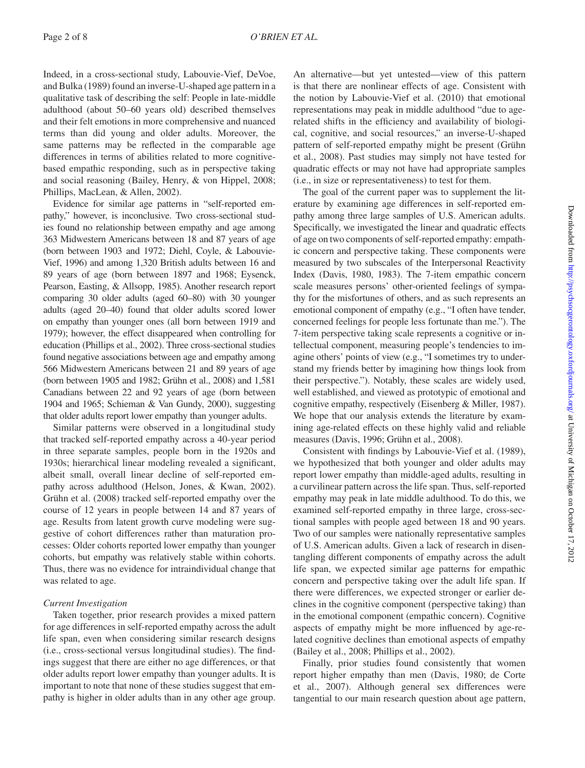Indeed, in a cross-sectional study, Labouvie-Vief, DeVoe, and Bulka (1989) found an inverse-U-shaped age pattern in a qualitative task of describing the self: People in late-middle adulthood (about 50–60 years old) described themselves and their felt emotions in more comprehensive and nuanced terms than did young and older adults. Moreover, the same patterns may be reflected in the comparable age differences in terms of abilities related to more cognitivebased empathic responding, such as in perspective taking and social reasoning (Bailey, Henry, & von Hippel, 2008; Phillips, MacLean, & Allen, 2002).

Evidence for similar age patterns in "self-reported empathy," however, is inconclusive. Two cross-sectional studies found no relationship between empathy and age among 363 Midwestern Americans between 18 and 87 years of age (born between 1903 and 1972; Diehl, Coyle, & Labouvie-Vief, 1996) and among 1,320 British adults between 16 and 89 years of age (born between 1897 and 1968; Eysenck, Pearson, Easting, & Allsopp, 1985). Another research report comparing 30 older adults (aged 60–80) with 30 younger adults (aged 20–40) found that older adults scored lower on empathy than younger ones (all born between 1919 and 1979); however, the effect disappeared when controlling for education (Phillips et al., 2002). Three cross-sectional studies found negative associations between age and empathy among 566 Midwestern Americans between 21 and 89 years of age (born between 1905 and 1982; Grühn et al., 2008) and 1,581 Canadians between 22 and 92 years of age (born between 1904 and 1965; Schieman & Van Gundy, 2000), suggesting that older adults report lower empathy than younger adults.

Similar patterns were observed in a longitudinal study that tracked self-reported empathy across a 40-year period in three separate samples, people born in the 1920s and 1930s; hierarchical linear modeling revealed a significant, albeit small, overall linear decline of self-reported empathy across adulthood (Helson, Jones, & Kwan, 2002). Grühn et al. (2008) tracked self-reported empathy over the course of 12 years in people between 14 and 87 years of age. Results from latent growth curve modeling were suggestive of cohort differences rather than maturation processes: Older cohorts reported lower empathy than younger cohorts, but empathy was relatively stable within cohorts. Thus, there was no evidence for intraindividual change that was related to age.

# *Current Investigation*

Taken together, prior research provides a mixed pattern for age differences in self-reported empathy across the adult life span, even when considering similar research designs (i.e., cross-sectional versus longitudinal studies). The findings suggest that there are either no age differences, or that older adults report lower empathy than younger adults. It is important to note that none of these studies suggest that empathy is higher in older adults than in any other age group.

An alternative—but yet untested—view of this pattern is that there are nonlinear effects of age. Consistent with the notion by Labouvie-Vief et al. (2010) that emotional representations may peak in middle adulthood "due to agerelated shifts in the efficiency and availability of biological, cognitive, and social resources," an inverse-U-shaped pattern of self-reported empathy might be present (Grühn et al., 2008). Past studies may simply not have tested for quadratic effects or may not have had appropriate samples (i.e., in size or representativeness) to test for them.

The goal of the current paper was to supplement the literature by examining age differences in self-reported empathy among three large samples of U.S. American adults. Specifically, we investigated the linear and quadratic effects of age on two components of self-reported empathy: empathic concern and perspective taking. These components were measured by two subscales of the Interpersonal Reactivity Index (Davis, 1980, 1983). The 7-item empathic concern scale measures persons' other-oriented feelings of sympathy for the misfortunes of others, and as such represents an emotional component of empathy (e.g., "I often have tender, concerned feelings for people less fortunate than me."). The 7-item perspective taking scale represents a cognitive or intellectual component, measuring people's tendencies to imagine others' points of view (e.g., "I sometimes try to understand my friends better by imagining how things look from their perspective."). Notably, these scales are widely used, well established, and viewed as prototypic of emotional and cognitive empathy, respectively (Eisenberg & Miller, 1987). We hope that our analysis extends the literature by examining age-related effects on these highly valid and reliable measures (Davis, 1996; Grühn et al., 2008).

Consistent with findings by Labouvie-Vief et al. (1989), we hypothesized that both younger and older adults may report lower empathy than middle-aged adults, resulting in a curvilinear pattern across the life span. Thus, self-reported empathy may peak in late middle adulthood. To do this, we examined self-reported empathy in three large, cross-sectional samples with people aged between 18 and 90 years. Two of our samples were nationally representative samples of U.S. American adults. Given a lack of research in disentangling different components of empathy across the adult life span, we expected similar age patterns for empathic concern and perspective taking over the adult life span. If there were differences, we expected stronger or earlier declines in the cognitive component (perspective taking) than in the emotional component (empathic concern). Cognitive aspects of empathy might be more influenced by age-related cognitive declines than emotional aspects of empathy (Bailey et al., 2008; Phillips et al., 2002).

Finally, prior studies found consistently that women report higher empathy than men (Davis, 1980; de Corte et al., 2007). Although general sex differences were tangential to our main research question about age pattern,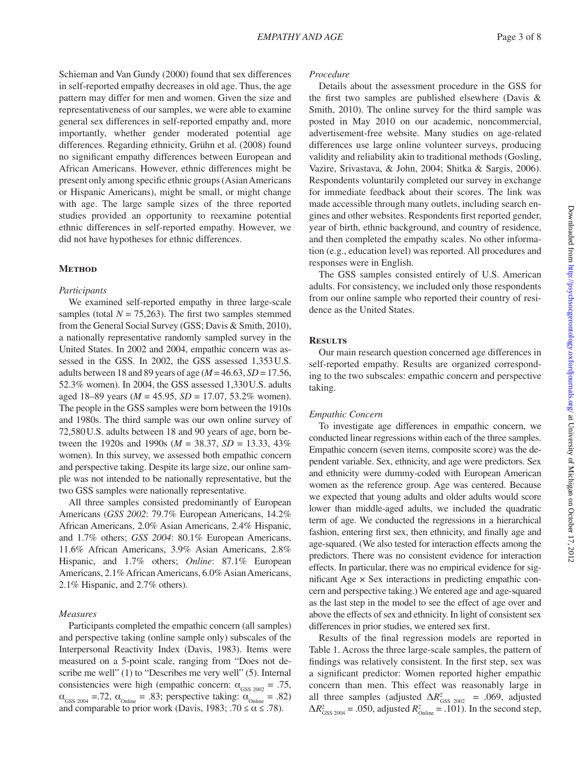Schieman and Van Gundy (2000) found that sex differences in self-reported empathy decreases in old age. Thus, the age pattern may differ for men and women. Given the size and representativeness of our samples, we were able to examine general sex differences in self-reported empathy and, more importantly, whether gender moderated potential age differences. Regarding ethnicity, Grühn et al. (2008) found no significant empathy differences between European and African Americans. However, ethnic differences might be present only among specific ethnic groups (Asian Americans or Hispanic Americans), might be small, or might change with age. The large sample sizes of the three reported studies provided an opportunity to reexamine potential ethnic differences in self-reported empathy. However, we did not have hypotheses for ethnic differences.

#### **Method**

#### *Participants*

We examined self-reported empathy in three large-scale samples (total  $N = 75,263$ ). The first two samples stemmed from the General Social Survey (GSS; Davis & Smith, 2010), a nationally representative randomly sampled survey in the United States. In 2002 and 2004, empathic concern was assessed in the GSS. In 2002, the GSS assessed 1,353U.S. adults between 18 and 89 years of age (*M* = 46.63, *SD* = 17.56, 52.3% women). In 2004, the GSS assessed 1,330U.S. adults aged 18–89 years (*M* = 45.95, *SD* = 17.07, 53.2% women). The people in the GSS samples were born between the 1910s and 1980s. The third sample was our own online survey of 72,580U.S. adults between 18 and 90 years of age, born between the 1920s and 1990s (*M* = 38.37, *SD* = 13.33, 43% women). In this survey, we assessed both empathic concern and perspective taking. Despite its large size, our online sample was not intended to be nationally representative, but the two GSS samples were nationally representative.

All three samples consisted predominantly of European Americans (*GSS 2002*: 79.7% European Americans, 14.2% African Americans, 2.0% Asian Americans, 2.4% Hispanic, and 1.7% others; *GSS 2004*: 80.1% European Americans, 11.6% African Americans, 3.9% Asian Americans, 2.8% Hispanic, and 1.7% others; *Online*: 87.1% European Americans, 2.1% African Americans, 6.0% Asian Americans, 2.1% Hispanic, and 2.7% others).

#### *Measures*

Participants completed the empathic concern (all samples) and perspective taking (online sample only) subscales of the Interpersonal Reactivity Index (Davis, 1983). Items were measured on a 5-point scale, ranging from "Does not describe me well" (1) to "Describes me very well" (5). Internal consistencies were high (empathic concern:  $\alpha_{GSS 2002} = .75$ ,  $\alpha_{\text{GSS 2004}} = .72$ ,  $\alpha_{\text{Online}} = .83$ ; perspective taking:  $\alpha_{\text{Online}} = .82$ ) and comparable to prior work (Davis, 1983;  $.70 \le \alpha \le .78$ ).

#### *Procedure*

Details about the assessment procedure in the GSS for the first two samples are published elsewhere (Davis & Smith, 2010). The online survey for the third sample was posted in May 2010 on our academic, noncommercial, advertisement-free website. Many studies on age-related differences use large online volunteer surveys, producing validity and reliability akin to traditional methods (Gosling, Vazire, Srivastava, & John, 2004; Shitka & Sargis, 2006). Respondents voluntarily completed our survey in exchange for immediate feedback about their scores. The link was made accessible through many outlets, including search engines and other websites. Respondents first reported gender, year of birth, ethnic background, and country of residence, and then completed the empathy scales. No other information (e.g., education level) was reported. All procedures and responses were in English.

The GSS samples consisted entirely of U.S. American adults. For consistency, we included only those respondents from our online sample who reported their country of residence as the United States.

## **Results**

Our main research question concerned age differences in self-reported empathy. Results are organized corresponding to the two subscales: empathic concern and perspective taking.

## *Empathic Concern*

To investigate age differences in empathic concern, we conducted linear regressions within each of the three samples. Empathic concern (seven items, composite score) was the dependent variable. Sex, ethnicity, and age were predictors. Sex and ethnicity were dummy-coded with European American women as the reference group. Age was centered. Because we expected that young adults and older adults would score lower than middle-aged adults, we included the quadratic term of age. We conducted the regressions in a hierarchical fashion, entering first sex, then ethnicity, and finally age and age-squared. (We also tested for interaction effects among the predictors. There was no consistent evidence for interaction effects. In particular, there was no empirical evidence for significant Age  $\times$  Sex interactions in predicting empathic concern and perspective taking.) We entered age and age-squared as the last step in the model to see the effect of age over and above the effects of sex and ethnicity. In light of consistent sex differences in prior studies, we entered sex first.

Results of the final regression models are reported in [Table 1](#page-4-0). Across the three large-scale samples, the pattern of findings was relatively consistent. In the first step, sex was a significant predictor: Women reported higher empathic concern than men. This effect was reasonably large in all three samples (adjusted  $\Delta R_{\text{GSS 2002}}^2$  = .069, adjusted  $\Delta R_{\text{GSS 2004}}^2$  = .050, adjusted  $R_{\text{Online}}^2$  = .101). In the second step,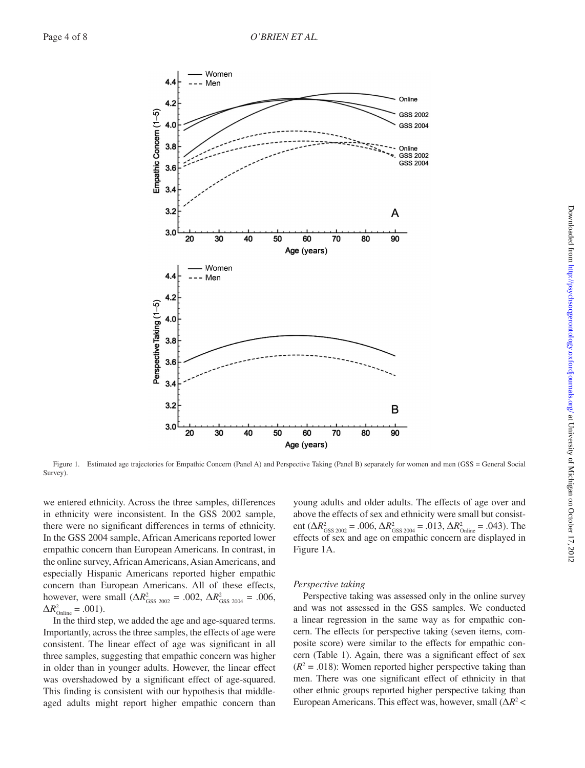

Figure 1. Estimated age trajectories for Empathic Concern (Panel A) and Perspective Taking (Panel B) separately for women and men (GSS = General Social Survey).

we entered ethnicity. Across the three samples, differences in ethnicity were inconsistent. In the GSS 2002 sample, there were no significant differences in terms of ethnicity. In the GSS 2004 sample, African Americans reported lower empathic concern than European Americans. In contrast, in the online survey, African Americans, Asian Americans, and especially Hispanic Americans reported higher empathic concern than European Americans. All of these effects, however, were small  $(\Delta R_{\text{GSS 2002}}^2 = .002, \Delta R_{\text{GSS 2004}}^2 = .006,$  $\Delta R_{\text{Online}}^2 = .001$ ).

In the third step, we added the age and age-squared terms. Importantly, across the three samples, the effects of age were consistent. The linear effect of age was significant in all three samples, suggesting that empathic concern was higher in older than in younger adults. However, the linear effect was overshadowed by a significant effect of age-squared. This finding is consistent with our hypothesis that middleaged adults might report higher empathic concern than

<span id="page-3-0"></span>young adults and older adults. The effects of age over and above the effects of sex and ethnicity were small but consistent ( $\Delta R_{\text{GSS 2002}}^2 = .006$ ,  $\Delta R_{\text{GSS 2004}}^2 = .013$ ,  $\Delta R_{\text{Online}}^2 = .043$ ). The effects of sex and age on empathic concern are displayed in [Figure 1A](#page-3-0).

#### *Perspective taking*

Perspective taking was assessed only in the online survey and was not assessed in the GSS samples. We conducted a linear regression in the same way as for empathic concern. The effects for perspective taking (seven items, composite score) were similar to the effects for empathic concern [\(Table 1](#page-4-0)). Again, there was a significant effect of sex  $(R<sup>2</sup> = .018)$ : Women reported higher perspective taking than men. There was one significant effect of ethnicity in that other ethnic groups reported higher perspective taking than European Americans. This effect was, however, small (Δ*R*<sup>2</sup> <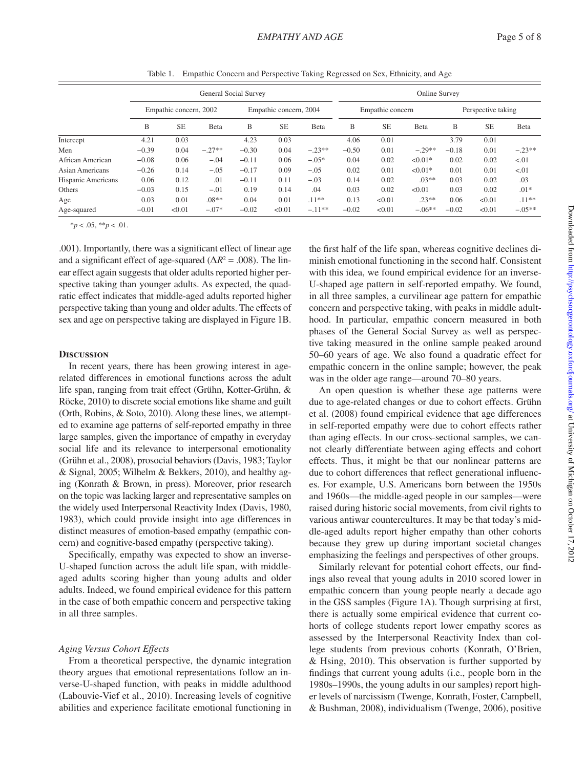|                    | General Social Survey  |           |          |                        |           |          | Online Survey    |        |           |                    |           |          |
|--------------------|------------------------|-----------|----------|------------------------|-----------|----------|------------------|--------|-----------|--------------------|-----------|----------|
|                    | Empathic concern, 2002 |           |          | Empathic concern, 2004 |           |          | Empathic concern |        |           | Perspective taking |           |          |
|                    | B                      | <b>SE</b> | Beta     | B                      | <b>SE</b> | Beta     | B                | SE.    | Beta      | B                  | <b>SE</b> | Beta     |
| Intercept          | 4.21                   | 0.03      |          | 4.23                   | 0.03      |          | 4.06             | 0.01   |           | 3.79               | 0.01      |          |
| Men                | $-0.39$                | 0.04      | $-.27**$ | $-0.30$                | 0.04      | $-.23**$ | $-0.50$          | 0.01   | $-.29**$  | $-0.18$            | 0.01      | $-.23**$ |
| African American   | $-0.08$                | 0.06      | $-.04$   | $-0.11$                | 0.06      | $-.05*$  | 0.04             | 0.02   | $< 0.01*$ | 0.02               | 0.02      | < 01     |
| Asian Americans    | $-0.26$                | 0.14      | $-.05$   | $-0.17$                | 0.09      | $-.05$   | 0.02             | 0.01   | $< 0.01*$ | 0.01               | 0.01      | < 01     |
| Hispanic Americans | 0.06                   | 0.12      | .01      | $-0.11$                | 0.11      | $-.03$   | 0.14             | 0.02   | $.03**$   | 0.03               | 0.02      | .03      |
| Others             | $-0.03$                | 0.15      | $-.01$   | 0.19                   | 0.14      | .04      | 0.03             | 0.02   | < 0.01    | 0.03               | 0.02      | $.01*$   |
| Age                | 0.03                   | 0.01      | $.08**$  | 0.04                   | 0.01      | $.11**$  | 0.13             | < 0.01 | $.23**$   | 0.06               | < 0.01    | $.11***$ |
| Age-squared        | $-0.01$                | < 0.01    | $-.07*$  | $-0.02$                | < 0.01    | $-.11**$ | $-0.02$          | < 0.01 | $-.06**$  | $-0.02$            | < 0.01    | $-.05**$ |

<span id="page-4-0"></span>Table 1. Empathic Concern and Perspective Taking Regressed on Sex, Ethnicity, and Age

\**p* < .05, \*\**p* < .01.

.001). Importantly, there was a significant effect of linear age and a significant effect of age-squared ( $\Delta R^2$  = .008). The linear effect again suggests that older adults reported higher perspective taking than younger adults. As expected, the quadratic effect indicates that middle-aged adults reported higher perspective taking than young and older adults. The effects of sex and age on perspective taking are displayed in [Figure 1B](#page-3-0).

#### **Discussion**

In recent years, there has been growing interest in agerelated differences in emotional functions across the adult life span, ranging from trait effect (Grühn, Kotter-Grühn, & Röcke, 2010) to discrete social emotions like shame and guilt (Orth, Robins, & Soto, 2010). Along these lines, we attempted to examine age patterns of self-reported empathy in three large samples, given the importance of empathy in everyday social life and its relevance to interpersonal emotionality (Grühn et al., 2008), prosocial behaviors (Davis, 1983; Taylor & Signal, 2005; Wilhelm & Bekkers, 2010), and healthy aging (Konrath & Brown, in press). Moreover, prior research on the topic was lacking larger and representative samples on the widely used Interpersonal Reactivity Index (Davis, 1980, 1983), which could provide insight into age differences in distinct measures of emotion-based empathy (empathic concern) and cognitive-based empathy (perspective taking).

Specifically, empathy was expected to show an inverse-U-shaped function across the adult life span, with middleaged adults scoring higher than young adults and older adults. Indeed, we found empirical evidence for this pattern in the case of both empathic concern and perspective taking in all three samples.

## *Aging Versus Cohort Effects*

From a theoretical perspective, the dynamic integration theory argues that emotional representations follow an inverse-U-shaped function, with peaks in middle adulthood (Labouvie-Vief et al., 2010). Increasing levels of cognitive abilities and experience facilitate emotional functioning in the first half of the life span, whereas cognitive declines diminish emotional functioning in the second half. Consistent with this idea, we found empirical evidence for an inverse-U-shaped age pattern in self-reported empathy. We found, in all three samples, a curvilinear age pattern for empathic concern and perspective taking, with peaks in middle adulthood. In particular, empathic concern measured in both phases of the General Social Survey as well as perspective taking measured in the online sample peaked around 50–60 years of age. We also found a quadratic effect for empathic concern in the online sample; however, the peak was in the older age range—around 70–80 years.

An open question is whether these age patterns were due to age-related changes or due to cohort effects. Grühn et al. (2008) found empirical evidence that age differences in self-reported empathy were due to cohort effects rather than aging effects. In our cross-sectional samples, we cannot clearly differentiate between aging effects and cohort effects. Thus, it might be that our nonlinear patterns are due to cohort differences that reflect generational influences. For example, U.S. Americans born between the 1950s and 1960s—the middle-aged people in our samples—were raised during historic social movements, from civil rights to various antiwar countercultures. It may be that today's middle-aged adults report higher empathy than other cohorts because they grew up during important societal changes emphasizing the feelings and perspectives of other groups.

Similarly relevant for potential cohort effects, our findings also reveal that young adults in 2010 scored lower in empathic concern than young people nearly a decade ago in the GSS samples [\(Figure 1A](#page-3-0)). Though surprising at first, there is actually some empirical evidence that current cohorts of college students report lower empathy scores as assessed by the Interpersonal Reactivity Index than college students from previous cohorts (Konrath, O'Brien, & Hsing, 2010). This observation is further supported by findings that current young adults (i.e., people born in the 1980s–1990s, the young adults in our samples) report higher levels of narcissism (Twenge, Konrath, Foster, Campbell, & Bushman, 2008), individualism (Twenge, 2006), positive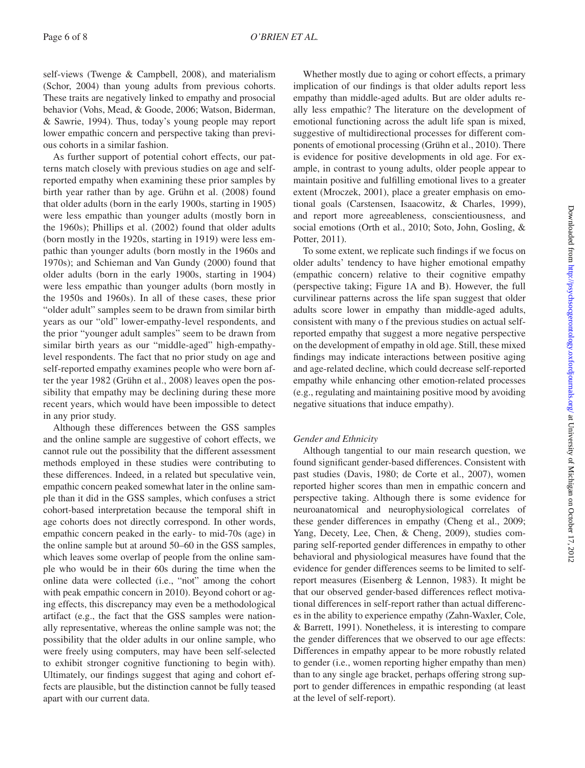self-views (Twenge & Campbell, 2008), and materialism (Schor, 2004) than young adults from previous cohorts. These traits are negatively linked to empathy and prosocial behavior (Vohs, Mead, & Goode, 2006; Watson, Biderman, & Sawrie, 1994). Thus, today's young people may report lower empathic concern and perspective taking than previous cohorts in a similar fashion.

As further support of potential cohort effects, our patterns match closely with previous studies on age and selfreported empathy when examining these prior samples by birth year rather than by age. Grühn et al. (2008) found that older adults (born in the early 1900s, starting in 1905) were less empathic than younger adults (mostly born in the 1960s); Phillips et al. (2002) found that older adults (born mostly in the 1920s, starting in 1919) were less empathic than younger adults (born mostly in the 1960s and 1970s); and Schieman and Van Gundy (2000) found that older adults (born in the early 1900s, starting in 1904) were less empathic than younger adults (born mostly in the 1950s and 1960s). In all of these cases, these prior "older adult" samples seem to be drawn from similar birth years as our "old" lower-empathy-level respondents, and the prior "younger adult samples" seem to be drawn from similar birth years as our "middle-aged" high-empathylevel respondents. The fact that no prior study on age and self-reported empathy examines people who were born after the year 1982 (Grühn et al., 2008) leaves open the possibility that empathy may be declining during these more recent years, which would have been impossible to detect in any prior study.

Although these differences between the GSS samples and the online sample are suggestive of cohort effects, we cannot rule out the possibility that the different assessment methods employed in these studies were contributing to these differences. Indeed, in a related but speculative vein, empathic concern peaked somewhat later in the online sample than it did in the GSS samples, which confuses a strict cohort-based interpretation because the temporal shift in age cohorts does not directly correspond. In other words, empathic concern peaked in the early- to mid-70s (age) in the online sample but at around 50–60 in the GSS samples, which leaves some overlap of people from the online sample who would be in their 60s during the time when the online data were collected (i.e., "not" among the cohort with peak empathic concern in 2010). Beyond cohort or aging effects, this discrepancy may even be a methodological artifact (e.g., the fact that the GSS samples were nationally representative, whereas the online sample was not; the possibility that the older adults in our online sample, who were freely using computers, may have been self-selected to exhibit stronger cognitive functioning to begin with). Ultimately, our findings suggest that aging and cohort effects are plausible, but the distinction cannot be fully teased apart with our current data.

Whether mostly due to aging or cohort effects, a primary implication of our findings is that older adults report less empathy than middle-aged adults. But are older adults really less empathic? The literature on the development of emotional functioning across the adult life span is mixed, suggestive of multidirectional processes for different components of emotional processing (Grühn et al., 2010). There is evidence for positive developments in old age. For example, in contrast to young adults, older people appear to maintain positive and fulfilling emotional lives to a greater extent (Mroczek, 2001), place a greater emphasis on emotional goals (Carstensen, Isaacowitz, & Charles, 1999), and report more agreeableness, conscientiousness, and social emotions (Orth et al., 2010; Soto, John, Gosling, & Potter, 2011).

To some extent, we replicate such findings if we focus on older adults' tendency to have higher emotional empathy (empathic concern) relative to their cognitive empathy (perspective taking; [Figure 1A](#page-3-0) and [B\)](#page-3-0). However, the full curvilinear patterns across the life span suggest that older adults score lower in empathy than middle-aged adults, consistent with many o f the previous studies on actual selfreported empathy that suggest a more negative perspective on the development of empathy in old age. Still, these mixed findings may indicate interactions between positive aging and age-related decline, which could decrease self-reported empathy while enhancing other emotion-related processes (e.g., regulating and maintaining positive mood by avoiding negative situations that induce empathy).

# *Gender and Ethnicity*

Although tangential to our main research question, we found significant gender-based differences. Consistent with past studies (Davis, 1980; de Corte et al., 2007), women reported higher scores than men in empathic concern and perspective taking. Although there is some evidence for neuroanatomical and neurophysiological correlates of these gender differences in empathy (Cheng et al., 2009; Yang, Decety, Lee, Chen, & Cheng, 2009), studies comparing self-reported gender differences in empathy to other behavioral and physiological measures have found that the evidence for gender differences seems to be limited to selfreport measures (Eisenberg & Lennon, 1983). It might be that our observed gender-based differences reflect motivational differences in self-report rather than actual differences in the ability to experience empathy (Zahn-Waxler, Cole, & Barrett, 1991). Nonetheless, it is interesting to compare the gender differences that we observed to our age effects: Differences in empathy appear to be more robustly related to gender (i.e., women reporting higher empathy than men) than to any single age bracket, perhaps offering strong support to gender differences in empathic responding (at least at the level of self-report).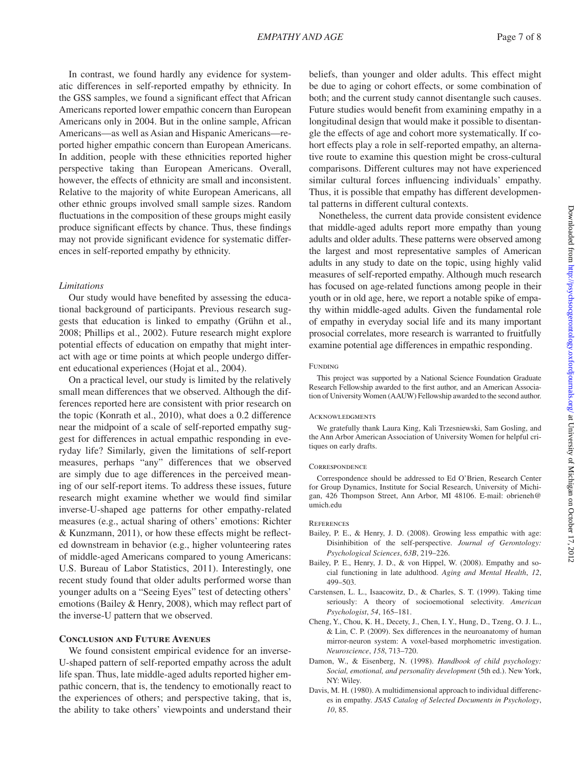In contrast, we found hardly any evidence for systematic differences in self-reported empathy by ethnicity. In the GSS samples, we found a significant effect that African Americans reported lower empathic concern than European Americans only in 2004. But in the online sample, African Americans—as well as Asian and Hispanic Americans—reported higher empathic concern than European Americans. In addition, people with these ethnicities reported higher perspective taking than European Americans. Overall, however, the effects of ethnicity are small and inconsistent. Relative to the majority of white European Americans, all other ethnic groups involved small sample sizes. Random fluctuations in the composition of these groups might easily

produce significant effects by chance. Thus, these findings may not provide significant evidence for systematic differences in self-reported empathy by ethnicity.

## *Limitations*

Our study would have benefited by assessing the educational background of participants. Previous research suggests that education is linked to empathy (Grühn et al., 2008; Phillips et al., 2002). Future research might explore potential effects of education on empathy that might interact with age or time points at which people undergo different educational experiences (Hojat et al., 2004).

On a practical level, our study is limited by the relatively small mean differences that we observed. Although the differences reported here are consistent with prior research on the topic (Konrath et al., 2010), what does a 0.2 difference near the midpoint of a scale of self-reported empathy suggest for differences in actual empathic responding in everyday life? Similarly, given the limitations of self-report measures, perhaps "any" differences that we observed are simply due to age differences in the perceived meaning of our self-report items. To address these issues, future research might examine whether we would find similar inverse-U-shaped age patterns for other empathy-related measures (e.g., actual sharing of others' emotions: Richter & Kunzmann, 2011), or how these effects might be reflected downstream in behavior (e.g., higher volunteering rates of middle-aged Americans compared to young Americans: U.S. Bureau of Labor Statistics, 2011). Interestingly, one recent study found that older adults performed worse than younger adults on a "Seeing Eyes" test of detecting others' emotions (Bailey & Henry, 2008), which may reflect part of the inverse-U pattern that we observed.

# **Conclusion and Future Avenues**

We found consistent empirical evidence for an inverse-U-shaped pattern of self-reported empathy across the adult life span. Thus, late middle-aged adults reported higher empathic concern, that is, the tendency to emotionally react to the experiences of others; and perspective taking, that is, the ability to take others' viewpoints and understand their beliefs, than younger and older adults. This effect might be due to aging or cohort effects, or some combination of both; and the current study cannot disentangle such causes. Future studies would benefit from examining empathy in a longitudinal design that would make it possible to disentangle the effects of age and cohort more systematically. If cohort effects play a role in self-reported empathy, an alternative route to examine this question might be cross-cultural comparisons. Different cultures may not have experienced similar cultural forces influencing individuals' empathy. Thus, it is possible that empathy has different developmental patterns in different cultural contexts.

Nonetheless, the current data provide consistent evidence that middle-aged adults report more empathy than young adults and older adults. These patterns were observed among the largest and most representative samples of American adults in any study to date on the topic, using highly valid measures of self-reported empathy. Although much research has focused on age-related functions among people in their youth or in old age, here, we report a notable spike of empathy within middle-aged adults. Given the fundamental role of empathy in everyday social life and its many important prosocial correlates, more research is warranted to fruitfully examine potential age differences in empathic responding.

#### FUNDING

This project was supported by a National Science Foundation Graduate Research Fellowship awarded to the first author, and an American Association of University Women (AAUW) Fellowship awarded to the second author.

#### **ACKNOWLEDGMENTS**

We gratefully thank Laura King, Kali Trzesniewski, Sam Gosling, and the Ann Arbor American Association of University Women for helpful critiques on early drafts.

#### **CORRESPONDENCE**

Correspondence should be addressed to Ed O'Brien, Research Center for Group Dynamics, Institute for Social Research, University of Michigan, 426 Thompson Street, Ann Arbor, MI 48106. E-mail: [obrieneh@](mailto:obrieneh@umich.edu.?subject=) [umich.edu](mailto:obrieneh@umich.edu.?subject=)

#### **REFERENCES**

- Bailey, P. E., & Henry, J. D. (2008). Growing less empathic with age: Disinhibition of the self-perspective. *Journal of Gerontology: Psychological Sciences*, *63B*, 219–226.
- Bailey, P. E., Henry, J. D., & von Hippel, W. (2008). Empathy and social functioning in late adulthood. *Aging and Mental Health*, *12*, 499–503.
- Carstensen, L. L., Isaacowitz, D., & Charles, S. T. (1999). Taking time seriously: A theory of socioemotional selectivity. *American Psychologist*, *54*, 165–181.
- Cheng, Y., Chou, K. H., Decety, J., Chen, I. Y., Hung, D., Tzeng, O. J. L., & Lin, C. P. (2009). Sex differences in the neuroanatomy of human mirror-neuron system: A voxel-based morphometric investigation. *Neuroscience*, *158*, 713–720.
- Damon, W., & Eisenberg, N. (1998). *Handbook of child psychology: Social, emotional, and personality development* (5th ed.). New York, NY: Wiley.
- Davis, M. H. (1980). A multidimensional approach to individual differences in empathy. *JSAS Catalog of Selected Documents in Psychology*, *10*, 85.